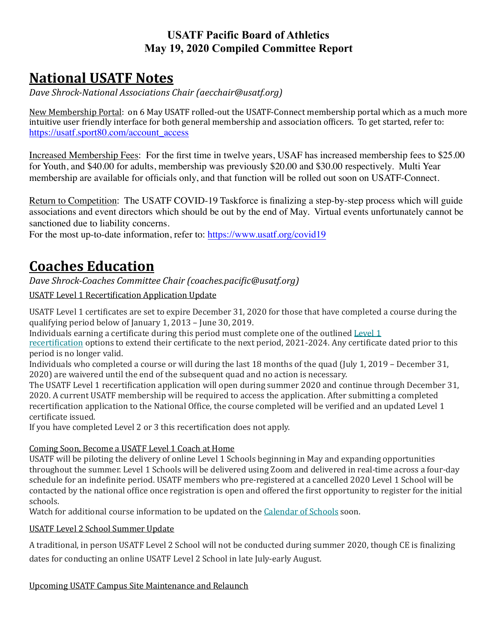### **USATF Pacific Board of Athletics May 19, 2020 Compiled Committee Report**

# **National USATF Notes**

*Dave Shrock-National Associations Chair (aecchair@usatf.org)* 

New Membership Portal: on 6 May USATF rolled-out the USATF-Connect membership portal which as a much more intuitive user friendly interface for both general membership and association officers. To get started, refer to: [https://usatf.sport80.com/account\\_access](https://usatf.sport80.com/account_access)

Increased Membership Fees: For the first time in twelve years, USAF has increased membership fees to \$25.00 for Youth, and \$40.00 for adults, membership was previously \$20.00 and \$30.00 respectively. Multi Year membership are available for officials only, and that function will be rolled out soon on USATF-Connect.

Return to Competition: The USATF COVID-19 Taskforce is finalizing a step-by-step process which will guide associations and event directors which should be out by the end of May. Virtual events unfortunately cannot be sanctioned due to liability concerns.

For the most up-to-date information, refer to: <https://www.usatf.org/covid19>

# **Coaches Education**

*Dave Shrock-Coaches Committee Chair (coaches.pacific@usatf.org)* 

USATF Level 1 Recertification Application Update

USATF Level 1 certificates are set to expire December 31, 2020 for those that have completed a course during the qualifying period below of January 1,  $2013$  – June  $30, 2019$ .

Individuals earning a certificate during this period must complete one of the outlined Level  $1$ 

recertification options to extend their certificate to the next period, 2021-2024. Any certificate dated prior to this period is no longer valid.

Individuals who completed a course or will during the last 18 months of the quad (July 1, 2019 – December 31, 2020) are waivered until the end of the subsequent quad and no action is necessary.

The USATF Level 1 recertification application will open during summer 2020 and continue through December 31, 2020. A current USATF membership will be required to access the application. After submitting a completed recertification application to the National Office, the course completed will be verified and an updated Level 1 certificate issued.

If you have completed Level 2 or 3 this recertification does not apply.

#### Coming Soon, Become a USATF Level 1 Coach at Home

USATF will be piloting the delivery of online Level 1 Schools beginning in May and expanding opportunities throughout the summer. Level 1 Schools will be delivered using Zoom and delivered in real-time across a four-day schedule for an indefinite period. USATF members who pre-registered at a cancelled 2020 Level 1 School will be contacted by the national office once registration is open and offered the first opportunity to register for the initial schools.

Watch for additional course information to be updated on the Calendar of Schools soon.

USATF Level 2 School Summer Update

A traditional, in person USATF Level 2 School will not be conducted during summer 2020, though CE is finalizing dates for conducting an online USATF Level 2 School in late July-early August.

Upcoming USATF Campus Site Maintenance and Relaunch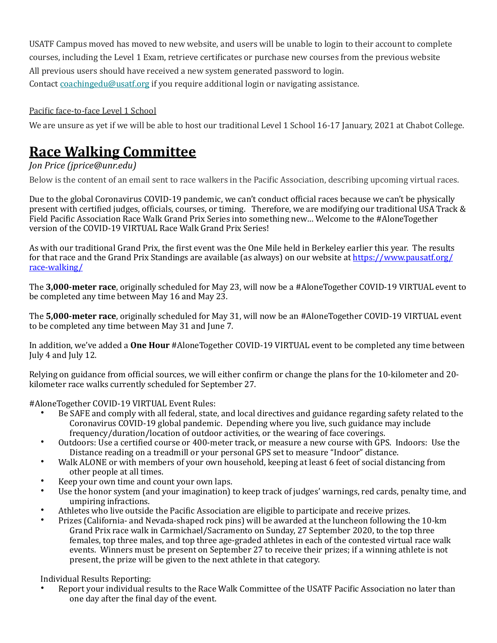USATF Campus moved has moved to new website, and users will be unable to login to their account to complete courses, including the Level 1 Exam, retrieve certificates or purchase new courses from the previous website All previous users should have received a new system generated password to login.

Contact  $\frac{\text{coachingedu@usatf.org}}{\text{costim}}$  if you require additional login or navigating assistance.

#### Pacific face-to-face Level 1 School

We are unsure as yet if we will be able to host our traditional Level 1 School 16-17 January, 2021 at Chabot College.

# **Race Walking Committee**

### *<i>Jon Price (iprice@unr.edu)*

Below is the content of an email sent to race walkers in the Pacific Association, describing upcoming virtual races.

Due to the global Coronavirus COVID-19 pandemic, we can't conduct official races because we can't be physically present with certified judges, officials, courses, or timing. Therefore, we are modifying our traditional USA Track & Field Pacific Association Race Walk Grand Prix Series into something new... Welcome to the #AloneTogether version of the COVID-19 VIRTUAL Race Walk Grand Prix Series!

As with our traditional Grand Prix, the first event was the One Mile held in Berkeley earlier this year. The results for that race and the Grand Prix Standings are available (as always) on our website at https://www.pausatf.org/ [race-walking/](https://nam04.safelinks.protection.outlook.com/?url=https%253A%252F%252Fwww.pausatf.org%252Frace-walking%252F&data=01%257C01%257Cjprice%2540unr.edu%257C1c9e4448d7be42935e2b08d7e8a74c8f%257C523b4bfc0ebd4c03b2b96f6a17fd31d8%257C1&sdata=xltJkBAQkMY14cOmOmOiRdwGw514LkqngphYJONyk3E%253D&reserved=0)

The **3,000-meter race**, originally scheduled for May 23, will now be a #AloneTogether COVID-19 VIRTUAL event to be completed any time between May 16 and May 23.

The **5,000-meter race**, originally scheduled for May 31, will now be an #AloneTogether COVID-19 VIRTUAL event to be completed any time between May 31 and June 7.

In addition, we've added a **One Hour** #AloneTogether COVID-19 VIRTUAL event to be completed any time between July 4 and July 12.

Relying on guidance from official sources, we will either confirm or change the plans for the 10-kilometer and 20kilometer race walks currently scheduled for September 27.

#AloneTogether COVID-19 VIRTUAL Event Rules:

- Be SAFE and comply with all federal, state, and local directives and guidance regarding safety related to the Coronavirus COVID-19 global pandemic. Depending where you live, such guidance may include frequency/duration/location of outdoor activities, or the wearing of face coverings.
- Outdoors: Use a certified course or 400-meter track, or measure a new course with GPS. Indoors: Use the Distance reading on a treadmill or your personal GPS set to measure "Indoor" distance.
- Walk ALONE or with members of your own household, keeping at least 6 feet of social distancing from other people at all times.
- Keep your own time and count your own laps.
- Use the honor system (and your imagination) to keep track of judges' warnings, red cards, penalty time, and umpiring infractions.
- Athletes who live outside the Pacific Association are eligible to participate and receive prizes.
- Prizes (California- and Nevada-shaped rock pins) will be awarded at the luncheon following the 10-km Grand Prix race walk in Carmichael/Sacramento on Sunday, 27 September 2020, to the top three females, top three males, and top three age-graded athletes in each of the contested virtual race walk events. Winners must be present on September 27 to receive their prizes; if a winning athlete is not present, the prize will be given to the next athlete in that category.

Individual Results Reporting:

Report your individual results to the Race Walk Committee of the USATF Pacific Association no later than one day after the final day of the event.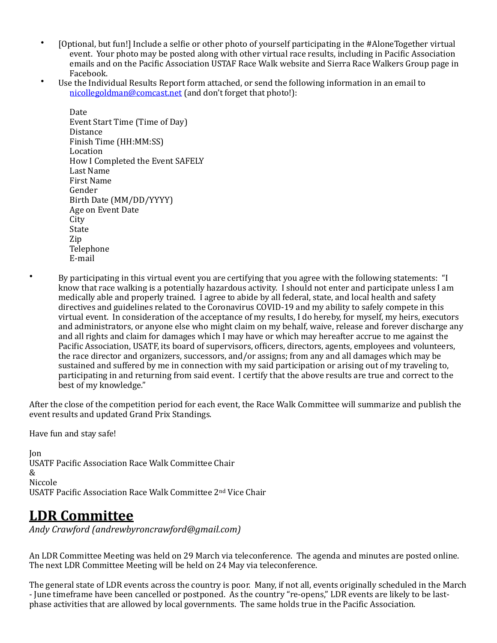- [Optional, but fun!] Include a selfie or other photo of yourself participating in the #AloneTogether virtual event. Your photo may be posted along with other virtual race results, including in Pacific Association emails and on the Pacific Association USTAF Race Walk website and Sierra Race Walkers Group page in Facebook.
- Use the Individual Results Report form attached, or send the following information in an email to nicollegoldman@comcast.net (and don't forget that photo!):

Date Event Start Time (Time of Day) **Distance** Finish Time (HH:MM:SS) Location How I Completed the Event SAFELY Last Name First Name Gender Birth Date (MM/DD/YYYY) Age on Event Date **City** State Zip **Telephone** E-mail 

• By participating in this virtual event you are certifying that you agree with the following statements: "I know that race walking is a potentially hazardous activity. I should not enter and participate unless I am medically able and properly trained. I agree to abide by all federal, state, and local health and safety directives and guidelines related to the Coronavirus COVID-19 and my ability to safely compete in this virtual event. In consideration of the acceptance of my results, I do hereby, for myself, my heirs, executors and administrators, or anyone else who might claim on my behalf, waive, release and forever discharge any and all rights and claim for damages which I may have or which may hereafter accrue to me against the Pacific Association, USATF, its board of supervisors, officers, directors, agents, employees and volunteers, the race director and organizers, successors, and/or assigns; from any and all damages which may be sustained and suffered by me in connection with my said participation or arising out of my traveling to, participating in and returning from said event. I certify that the above results are true and correct to the best of my knowledge."

After the close of the competition period for each event, the Race Walk Committee will summarize and publish the event results and updated Grand Prix Standings.

Have fun and stay safe!

Jon USATF Pacific Association Race Walk Committee Chair & Niccole USATF Pacific Association Race Walk Committee 2<sup>nd</sup> Vice Chair

## **LDR Committee**

*Andy Crawford (andrewbyroncrawford@gmail.com)* 

An LDR Committee Meeting was held on 29 March via teleconference. The agenda and minutes are posted online. The next LDR Committee Meeting will be held on 24 May via teleconference.

The general state of LDR events across the country is poor. Many, if not all, events originally scheduled in the March - June timeframe have been cancelled or postponed. As the country "re-opens," LDR events are likely to be lastphase activities that are allowed by local governments. The same holds true in the Pacific Association.